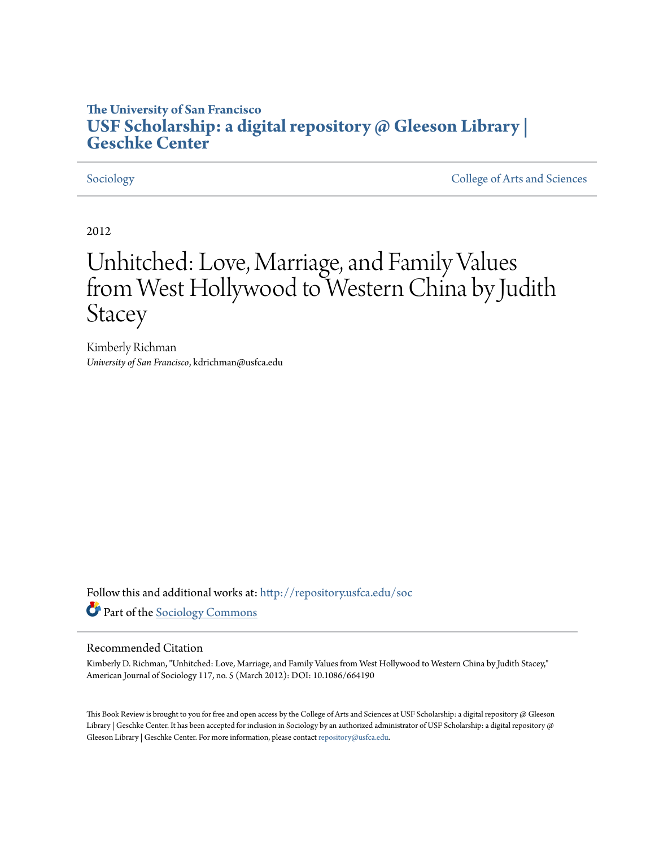## **The University of San Francisco [USF Scholarship: a digital repository @ Gleeson Library |](http://repository.usfca.edu?utm_source=repository.usfca.edu%2Fsoc%2F8&utm_medium=PDF&utm_campaign=PDFCoverPages) [Geschke Center](http://repository.usfca.edu?utm_source=repository.usfca.edu%2Fsoc%2F8&utm_medium=PDF&utm_campaign=PDFCoverPages)**

[Sociology](http://repository.usfca.edu/soc?utm_source=repository.usfca.edu%2Fsoc%2F8&utm_medium=PDF&utm_campaign=PDFCoverPages) [College of Arts and Sciences](http://repository.usfca.edu/artsci?utm_source=repository.usfca.edu%2Fsoc%2F8&utm_medium=PDF&utm_campaign=PDFCoverPages)

2012

# Unhitched: Love, Marriage, and Family Values from West Hollywood to Western China by Judith **Stacey**

Kimberly Richman *University of San Francisco*, kdrichman@usfca.edu

Follow this and additional works at: [http://repository.usfca.edu/soc](http://repository.usfca.edu/soc?utm_source=repository.usfca.edu%2Fsoc%2F8&utm_medium=PDF&utm_campaign=PDFCoverPages) Part of the [Sociology Commons](http://network.bepress.com/hgg/discipline/416?utm_source=repository.usfca.edu%2Fsoc%2F8&utm_medium=PDF&utm_campaign=PDFCoverPages)

### Recommended Citation

Kimberly D. Richman, "Unhitched: Love, Marriage, and Family Values from West Hollywood to Western China by Judith Stacey," American Journal of Sociology 117, no. 5 (March 2012): DOI: 10.1086/664190

This Book Review is brought to you for free and open access by the College of Arts and Sciences at USF Scholarship: a digital repository @ Gleeson Library | Geschke Center. It has been accepted for inclusion in Sociology by an authorized administrator of USF Scholarship: a digital repository @ Gleeson Library | Geschke Center. For more information, please contact [repository@usfca.edu](mailto:repository@usfca.edu).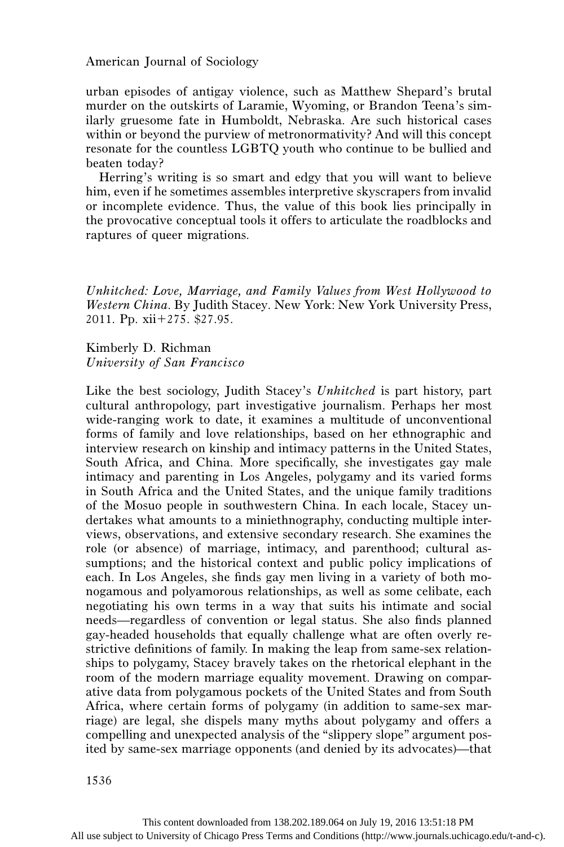#### American Journal of Sociology

urban episodes of antigay violence, such as Matthew Shepard's brutal murder on the outskirts of Laramie, Wyoming, or Brandon Teena's similarly gruesome fate in Humboldt, Nebraska. Are such historical cases within or beyond the purview of metronormativity? And will this concept resonate for the countless LGBTQ youth who continue to be bullied and beaten today?

Herring's writing is so smart and edgy that you will want to believe him, even if he sometimes assembles interpretive skyscrapers from invalid or incomplete evidence. Thus, the value of this book lies principally in the provocative conceptual tools it offers to articulate the roadblocks and raptures of queer migrations.

*Unhitched: Love, Marriage, and Family Values from West Hollywood to Western China*. By Judith Stacey. New York: New York University Press, 2011. Pp. xii275. \$27.95.

Kimberly D. Richman *University of San Francisco*

Like the best sociology, Judith Stacey's *Unhitched* is part history, part cultural anthropology, part investigative journalism. Perhaps her most wide-ranging work to date, it examines a multitude of unconventional forms of family and love relationships, based on her ethnographic and interview research on kinship and intimacy patterns in the United States, South Africa, and China. More specifically, she investigates gay male intimacy and parenting in Los Angeles, polygamy and its varied forms in South Africa and the United States, and the unique family traditions of the Mosuo people in southwestern China. In each locale, Stacey undertakes what amounts to a miniethnography, conducting multiple interviews, observations, and extensive secondary research. She examines the role (or absence) of marriage, intimacy, and parenthood; cultural assumptions; and the historical context and public policy implications of each. In Los Angeles, she finds gay men living in a variety of both monogamous and polyamorous relationships, as well as some celibate, each negotiating his own terms in a way that suits his intimate and social needs—regardless of convention or legal status. She also finds planned gay-headed households that equally challenge what are often overly restrictive definitions of family. In making the leap from same-sex relationships to polygamy, Stacey bravely takes on the rhetorical elephant in the room of the modern marriage equality movement. Drawing on comparative data from polygamous pockets of the United States and from South Africa, where certain forms of polygamy (in addition to same-sex marriage) are legal, she dispels many myths about polygamy and offers a compelling and unexpected analysis of the "slippery slope" argument posited by same-sex marriage opponents (and denied by its advocates)—that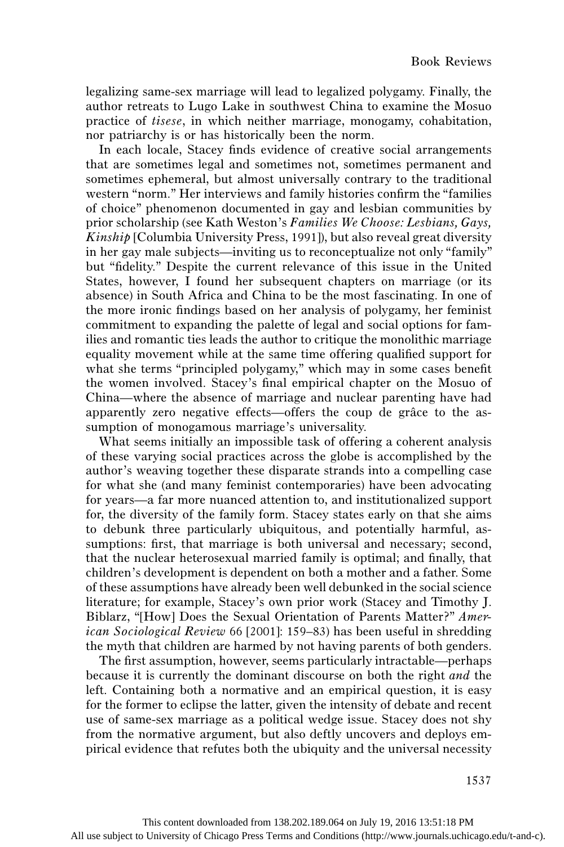legalizing same-sex marriage will lead to legalized polygamy. Finally, the author retreats to Lugo Lake in southwest China to examine the Mosuo practice of *tisese*, in which neither marriage, monogamy, cohabitation, nor patriarchy is or has historically been the norm.

In each locale, Stacey finds evidence of creative social arrangements that are sometimes legal and sometimes not, sometimes permanent and sometimes ephemeral, but almost universally contrary to the traditional western "norm." Her interviews and family histories confirm the "families of choice" phenomenon documented in gay and lesbian communities by prior scholarship (see Kath Weston's *Families We Choose: Lesbians, Gays, Kinship* [Columbia University Press, 1991]), but also reveal great diversity in her gay male subjects—inviting us to reconceptualize not only "family" but "fidelity." Despite the current relevance of this issue in the United States, however, I found her subsequent chapters on marriage (or its absence) in South Africa and China to be the most fascinating. In one of the more ironic findings based on her analysis of polygamy, her feminist commitment to expanding the palette of legal and social options for families and romantic ties leads the author to critique the monolithic marriage equality movement while at the same time offering qualified support for what she terms "principled polygamy," which may in some cases benefit the women involved. Stacey's final empirical chapter on the Mosuo of China—where the absence of marriage and nuclear parenting have had apparently zero negative effects—offers the coup de grâce to the assumption of monogamous marriage's universality.

What seems initially an impossible task of offering a coherent analysis of these varying social practices across the globe is accomplished by the author's weaving together these disparate strands into a compelling case for what she (and many feminist contemporaries) have been advocating for years—a far more nuanced attention to, and institutionalized support for, the diversity of the family form. Stacey states early on that she aims to debunk three particularly ubiquitous, and potentially harmful, assumptions: first, that marriage is both universal and necessary; second, that the nuclear heterosexual married family is optimal; and finally, that children's development is dependent on both a mother and a father. Some of these assumptions have already been well debunked in the social science literature; for example, Stacey's own prior work (Stacey and Timothy J. Biblarz, "[How] Does the Sexual Orientation of Parents Matter?" *American Sociological Review* 66 [2001]: 159–83) has been useful in shredding the myth that children are harmed by not having parents of both genders.

The first assumption, however, seems particularly intractable—perhaps because it is currently the dominant discourse on both the right *and* the left. Containing both a normative and an empirical question, it is easy for the former to eclipse the latter, given the intensity of debate and recent use of same-sex marriage as a political wedge issue. Stacey does not shy from the normative argument, but also deftly uncovers and deploys empirical evidence that refutes both the ubiquity and the universal necessity